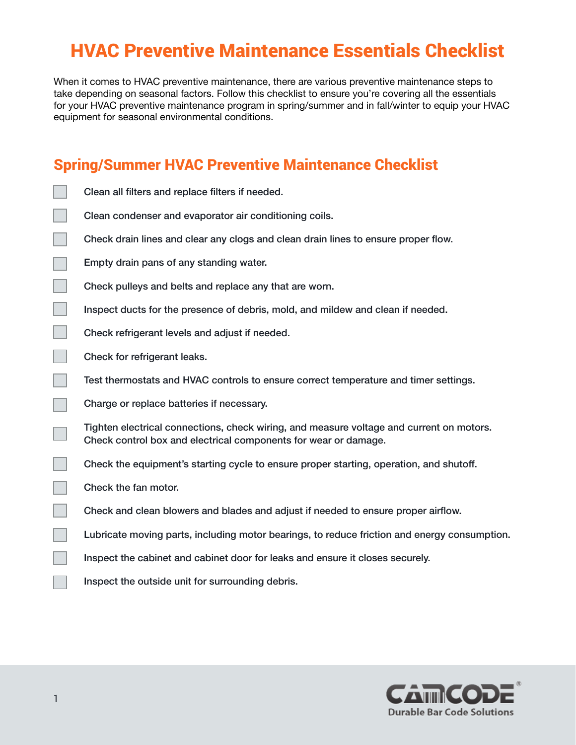## HVAC Preventive Maintenance Essentials Checklist

When it comes to HVAC preventive maintenance, there are various preventive maintenance steps to take depending on seasonal factors. Follow this checklist to ensure you're covering all the essentials for your HVAC preventive maintenance program in spring/summer and in fall/winter to equip your HVAC equipment for seasonal environmental conditions.

## Spring/Summer HVAC Preventive Maintenance Checklist

- Clean all filters and replace filters if needed.
- Clean condenser and evaporator air conditioning coils.
- Check drain lines and clear any clogs and clean drain lines to ensure proper flow.
- Empty drain pans of any standing water.
- a. Check pulleys and belts and replace any that are worn.
	- Inspect ducts for the presence of debris, mold, and mildew and clean if needed.
	- Check refrigerant levels and adjust if needed.
	- Check for refrigerant leaks.
	- Test thermostats and HVAC controls to ensure correct temperature and timer settings.
	- Charge or replace batteries if necessary.
	- Tighten electrical connections, check wiring, and measure voltage and current on motors. Check control box and electrical components for wear or damage.
	- Check the equipment's starting cycle to ensure proper starting, operation, and shutoff.
		- Check the fan motor.
	- Check and clean blowers and blades and adjust if needed to ensure proper airflow.
	- Lubricate moving parts, including motor bearings, to reduce friction and energy consumption.
	- Inspect the cabinet and cabinet door for leaks and ensure it closes securely.
	- Inspect the outside unit for surrounding debris.